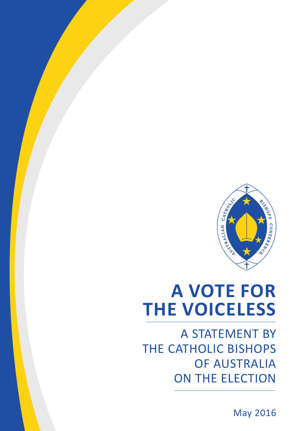

## **A VOTE FOR THE VOICELESS**

A STATEMENT BY THE CATHOLIC BISHOPS OF AUSTRALIA on the election

May 2016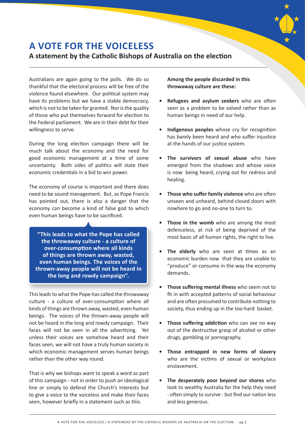

## **A VOTE FOR THE VOICELESS**

## **A statement by the Catholic Bishops of Australia on the election**

Australians are again going to the polls. We do so thankful that the electoral process will be free of the violence found elsewhere. Our political system may have its problems but we have a stable democracy, which is not to be taken for granted. Nor is the quality of those who put themselves forward for election to the Federal parliament. We are in their debt for their willingness to serve.

During the long election campaign there will be much talk about the economy and the need for good economic management at a time of some uncertainty. Both sides of politics will state their economic credentials in a bid to win power.

The economy of course is important and there does need to be sound management. But, as Pope Francis has pointed out, there is also a danger that the economy can become a kind of false god to which even human beings have to be sacrificed.

**"This leads to what the Pope has called the throwaway culture - a culture of over-consumption where all kinds of things are thrown away, wasted, even human beings. The voices of the thrown-away people will not be heard in the long and rowdy campaign".**

This leads to what the Pope has called the throwaway culture - a culture of over-consumption where all kinds of things are thrown away, wasted, even human beings. The voices of the thrown-away people will not be heard in the long and rowdy campaign. Their faces will not be seen in all the advertising. Yet unless their voices are somehow heard and their faces seen, we will not have a truly human society in which economic management serves human beings rather than the other way round.

That is why we bishops want to speak a word as part of this campaign - not in order to push an ideological line or simply to defend the Church's interests but to give a voice to the voiceless and make their faces seen, however briefly in a statement such as this.

**Among the people discarded in this throwaway culture are these:** 

- **• Refugees and asylum seekers** who are often seen as a problem to be solved rather than as human beings in need of our help.
- **• Indigenous peoples** whose cry for recognition has barely been heard and who suffer injustice at the hands of our justice system.
- **• The survivors of sexual abuse** who have emerged from the shadows and whose voice is now being heard, crying out for redress and healing.
- **• Those who suffer family violence** who are often unseen and unheard, behind closed doors with nowhere to go and no-one to turn to.
- **Those in the womb** who are among the most defenceless, at risk of being deprived of the most basic of all human rights, the right to live.
- **The elderly** who are seen at times as an economic burden now that they are unable to "produce" or consume in the way the economy demands.
- **• Those suffering mental illness** who seem not to fit in with accepted patterns of social behaviour and are often presumed to contribute nothing to society, thus ending up in the too-hard basket.
- **• Those suffering addiction** who can see no way out of the destructive grasp of alcohol or other drugs, gambling or pornography.
- **• Those entrapped in new forms of slavery** who are the victims of sexual or workplace enslavement.
- **• The desperately poor beyond our shores** who look to wealthy Australia for the help they need - often simply to survive - but find our nation less and less generous.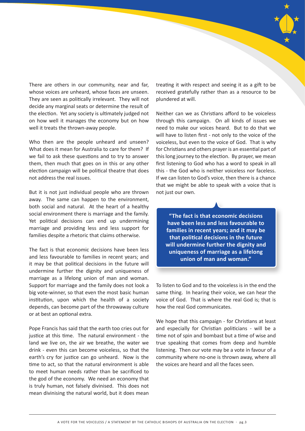

There are others in our community, near and far, whose voices are unheard, whose faces are unseen. They are seen as politically irrelevant. They will not decide any marginal seats or determine the result of the election. Yet any society is ultimately judged not on how well it manages the economy but on how well it treats the thrown-away people.

Who then are the people unheard and unseen? What does it mean for Australia to care for them? If we fail to ask these questions and to try to answer them, then much that goes on in this or any other election campaign will be political theatre that does not address the real issues.

But it is not just individual people who are thrown away. The same can happen to the environment, both social and natural. At the heart of a healthy social environment there is marriage and the family. Yet political decisions can end up undermining marriage and providing less and less support for families despite a rhetoric that claims otherwise.

The fact is that economic decisions have been less and less favourable to families in recent years; and it may be that political decisions in the future will undermine further the dignity and uniqueness of marriage as a lifelong union of man and woman. Support for marriage and the family does not look a big vote-winner, so that even the most basic human institution, upon which the health of a society depends, can become part of the throwaway culture or at best an optional extra.

Pope Francis has said that the earth too cries out for justice at this time. The natural environment - the land we live on, the air we breathe, the water we drink - even this can become voiceless, so that the earth's cry for justice can go unheard. Now is the time to act, so that the natural environment is able to meet human needs rather than be sacrificed to the god of the economy. We need an economy that is truly human, not falsely divinised. This does not mean divinising the natural world, but it does mean

treating it with respect and seeing it as a gift to be received gratefully rather than as a resource to be plundered at will.

Neither can we as Christians afford to be voiceless through this campaign. On all kinds of issues we need to make our voices heard. But to do that we will have to listen first - not only to the voice of the voiceless, but even to the voice of God. That is why for Christians and others prayer is an essential part of this long journey to the election. By prayer, we mean first listening to God who has a word to speak in all this - the God who is neither voiceless nor faceless. If we can listen to God's voice, then there is a chance that we might be able to speak with a voice that is not just our own.

**"The fact is that economic decisions have been less and less favourable to families in recent years; and it may be that political decisions in the future will undermine further the dignity and uniqueness of marriage as a lifelong union of man and woman."**

To listen to God and to the voiceless is in the end the same thing. In hearing their voice, we can hear the voice of God. That is where the real God is; that is how the real God communicates.

We hope that this campaign - for Christians at least and especially for Christian politicians - will be a time not of spin and bombast but a time of wise and true speaking that comes from deep and humble listening. Then our vote may be a vote in favour of a community where no-one is thrown away, where all the voices are heard and all the faces seen.